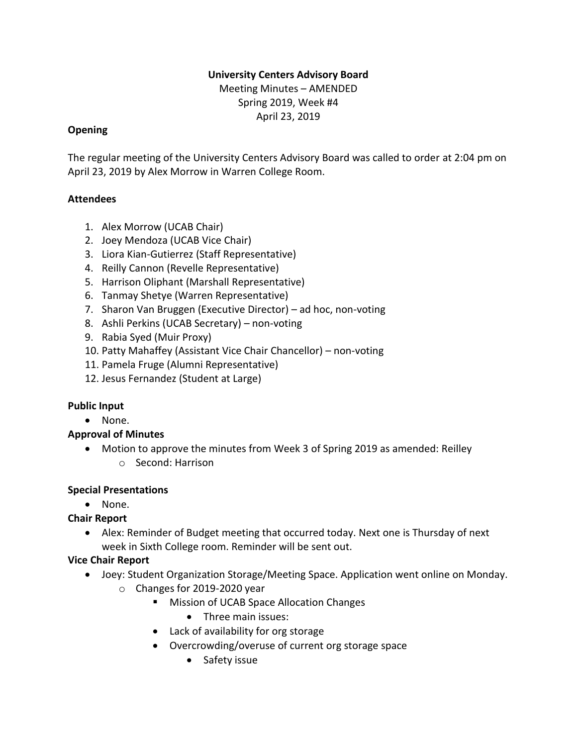### **University Centers Advisory Board**

Meeting Minutes – AMENDED Spring 2019, Week #4 April 23, 2019

#### **Opening**

The regular meeting of the University Centers Advisory Board was called to order at 2:04 pm on April 23, 2019 by Alex Morrow in Warren College Room.

### **Attendees**

- 1. Alex Morrow (UCAB Chair)
- 2. Joey Mendoza (UCAB Vice Chair)
- 3. Liora Kian-Gutierrez (Staff Representative)
- 4. Reilly Cannon (Revelle Representative)
- 5. Harrison Oliphant (Marshall Representative)
- 6. Tanmay Shetye (Warren Representative)
- 7. Sharon Van Bruggen (Executive Director) ad hoc, non-voting
- 8. Ashli Perkins (UCAB Secretary) non-voting
- 9. Rabia Syed (Muir Proxy)
- 10. Patty Mahaffey (Assistant Vice Chair Chancellor) non-voting
- 11. Pamela Fruge (Alumni Representative)
- 12. Jesus Fernandez (Student at Large)

### **Public Input**

• None.

### **Approval of Minutes**

• Motion to approve the minutes from Week 3 of Spring 2019 as amended: Reilley o Second: Harrison

### **Special Presentations**

• None.

### **Chair Report**

• Alex: Reminder of Budget meeting that occurred today. Next one is Thursday of next week in Sixth College room. Reminder will be sent out.

### **Vice Chair Report**

- Joey: Student Organization Storage/Meeting Space. Application went online on Monday. o Changes for 2019-2020 year
	- Mission of UCAB Space Allocation Changes
		- Three main issues:
	- Lack of availability for org storage
	- Overcrowding/overuse of current org storage space
		- Safety issue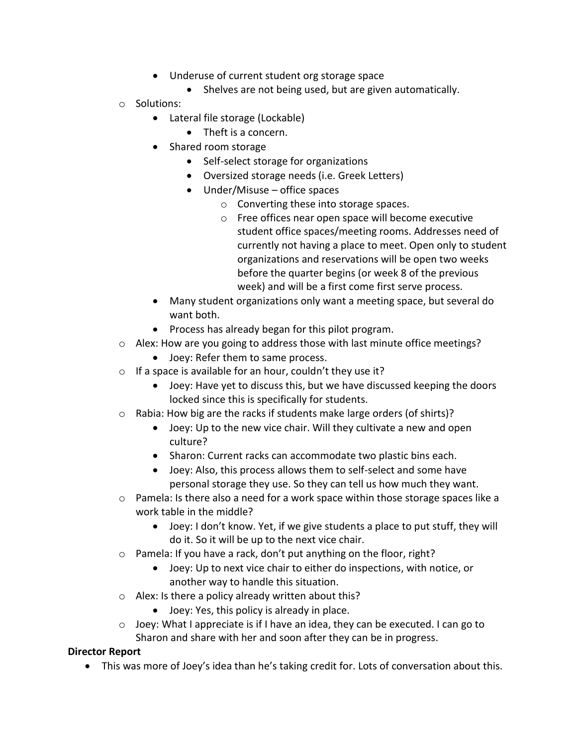- Underuse of current student org storage space
	- Shelves are not being used, but are given automatically.
- o Solutions:
	- Lateral file storage (Lockable)
		- Theft is a concern.
	- Shared room storage
		- Self-select storage for organizations
		- Oversized storage needs (i.e. Greek Letters)
		- Under/Misuse office spaces
			- o Converting these into storage spaces.
			- o Free offices near open space will become executive student office spaces/meeting rooms. Addresses need of currently not having a place to meet. Open only to student organizations and reservations will be open two weeks before the quarter begins (or week 8 of the previous week) and will be a first come first serve process.
	- Many student organizations only want a meeting space, but several do want both.
	- Process has already began for this pilot program.
- $\circ$  Alex: How are you going to address those with last minute office meetings?
	- Joey: Refer them to same process.
- $\circ$  If a space is available for an hour, couldn't they use it?
	- Joey: Have yet to discuss this, but we have discussed keeping the doors locked since this is specifically for students.
- o Rabia: How big are the racks if students make large orders (of shirts)?
	- Joey: Up to the new vice chair. Will they cultivate a new and open culture?
	- Sharon: Current racks can accommodate two plastic bins each.
	- Joey: Also, this process allows them to self-select and some have personal storage they use. So they can tell us how much they want.
- $\circ$  Pamela: Is there also a need for a work space within those storage spaces like a work table in the middle?
	- Joey: I don't know. Yet, if we give students a place to put stuff, they will do it. So it will be up to the next vice chair.
- o Pamela: If you have a rack, don't put anything on the floor, right?
	- Joey: Up to next vice chair to either do inspections, with notice, or another way to handle this situation.
- o Alex: Is there a policy already written about this?
	- Joey: Yes, this policy is already in place.
- $\circ$  Joey: What I appreciate is if I have an idea, they can be executed. I can go to Sharon and share with her and soon after they can be in progress.

#### **Director Report**

• This was more of Joey's idea than he's taking credit for. Lots of conversation about this.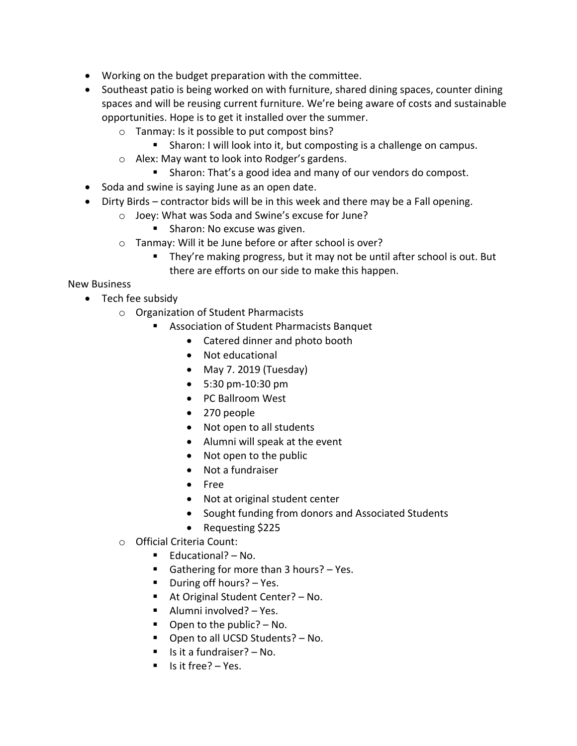- Working on the budget preparation with the committee.
- Southeast patio is being worked on with furniture, shared dining spaces, counter dining spaces and will be reusing current furniture. We're being aware of costs and sustainable opportunities. Hope is to get it installed over the summer.
	- o Tanmay: Is it possible to put compost bins?
		- Sharon: I will look into it, but composting is a challenge on campus.
	- o Alex: May want to look into Rodger's gardens.
		- Sharon: That's a good idea and many of our vendors do compost.
- Soda and swine is saying June as an open date.
- Dirty Birds contractor bids will be in this week and there may be a Fall opening.
	- o Joey: What was Soda and Swine's excuse for June?
		- Sharon: No excuse was given.
	- o Tanmay: Will it be June before or after school is over?
		- They're making progress, but it may not be until after school is out. But there are efforts on our side to make this happen.

New Business

- Tech fee subsidy
	- o Organization of Student Pharmacists
		- Association of Student Pharmacists Banquet
			- Catered dinner and photo booth
			- Not educational
			- May 7. 2019 (Tuesday)
			- 5:30 pm-10:30 pm
			- PC Ballroom West
			- 270 people
			- Not open to all students
			- Alumni will speak at the event
			- Not open to the public
			- Not a fundraiser
			- Free
			- Not at original student center
			- Sought funding from donors and Associated Students
			- Requesting \$225
	- o Official Criteria Count:
		- Educational? No.
		- Gathering for more than 3 hours? Yes.
		- During off hours? Yes.
		- At Original Student Center? No.
		- Alumni involved? Yes.
		- $\blacksquare$  Open to the public? No.
		- Open to all UCSD Students? No.
		- Is it a fundraiser? No.
		- Is it free? Yes.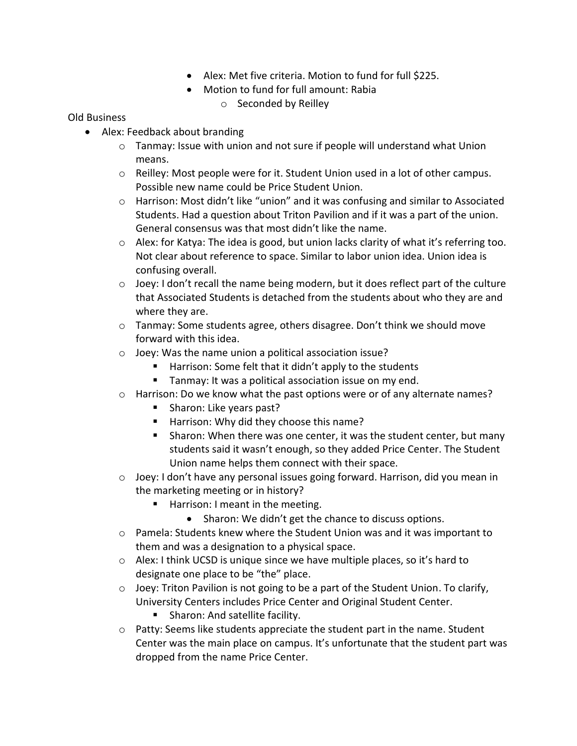- Alex: Met five criteria. Motion to fund for full \$225.
- Motion to fund for full amount: Rabia
	- o Seconded by Reilley

#### Old Business

- Alex: Feedback about branding
	- $\circ$  Tanmay: Issue with union and not sure if people will understand what Union means.
	- $\circ$  Reilley: Most people were for it. Student Union used in a lot of other campus. Possible new name could be Price Student Union.
	- o Harrison: Most didn't like "union" and it was confusing and similar to Associated Students. Had a question about Triton Pavilion and if it was a part of the union. General consensus was that most didn't like the name.
	- $\circ$  Alex: for Katya: The idea is good, but union lacks clarity of what it's referring too. Not clear about reference to space. Similar to labor union idea. Union idea is confusing overall.
	- $\circ$  Joey: I don't recall the name being modern, but it does reflect part of the culture that Associated Students is detached from the students about who they are and where they are.
	- $\circ$  Tanmay: Some students agree, others disagree. Don't think we should move forward with this idea.
	- o Joey: Was the name union a political association issue?
		- Harrison: Some felt that it didn't apply to the students
		- Tanmay: It was a political association issue on my end.
	- $\circ$  Harrison: Do we know what the past options were or of any alternate names?
		- Sharon: Like years past?
		- Harrison: Why did they choose this name?
		- Sharon: When there was one center, it was the student center, but many students said it wasn't enough, so they added Price Center. The Student Union name helps them connect with their space.
	- o Joey: I don't have any personal issues going forward. Harrison, did you mean in the marketing meeting or in history?
		- Harrison: I meant in the meeting.
			- Sharon: We didn't get the chance to discuss options.
	- $\circ$  Pamela: Students knew where the Student Union was and it was important to them and was a designation to a physical space.
	- o Alex: I think UCSD is unique since we have multiple places, so it's hard to designate one place to be "the" place.
	- o Joey: Triton Pavilion is not going to be a part of the Student Union. To clarify, University Centers includes Price Center and Original Student Center.
		- Sharon: And satellite facility.
	- $\circ$  Patty: Seems like students appreciate the student part in the name. Student Center was the main place on campus. It's unfortunate that the student part was dropped from the name Price Center.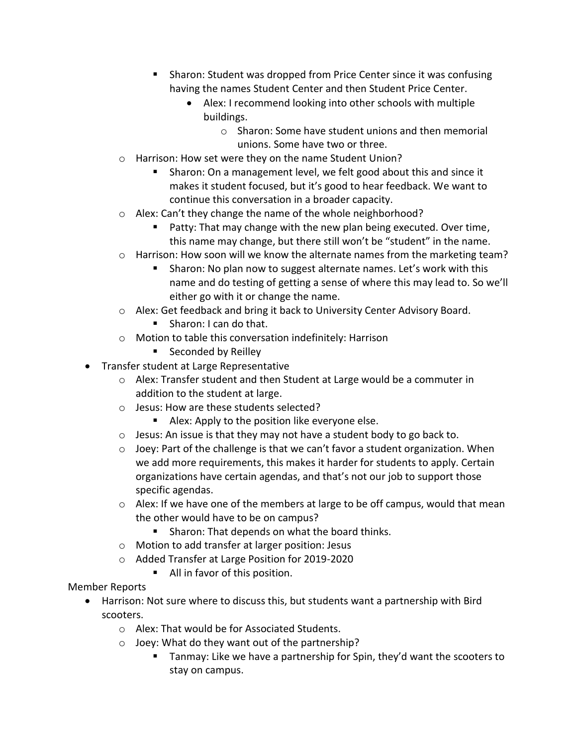- Sharon: Student was dropped from Price Center since it was confusing having the names Student Center and then Student Price Center.
	- Alex: I recommend looking into other schools with multiple buildings.
		- o Sharon: Some have student unions and then memorial unions. Some have two or three.
- o Harrison: How set were they on the name Student Union?
	- Sharon: On a management level, we felt good about this and since it makes it student focused, but it's good to hear feedback. We want to continue this conversation in a broader capacity.
- o Alex: Can't they change the name of the whole neighborhood?
	- Patty: That may change with the new plan being executed. Over time, this name may change, but there still won't be "student" in the name.
- $\circ$  Harrison: How soon will we know the alternate names from the marketing team?
	- Sharon: No plan now to suggest alternate names. Let's work with this name and do testing of getting a sense of where this may lead to. So we'll either go with it or change the name.
- o Alex: Get feedback and bring it back to University Center Advisory Board.
	- Sharon: I can do that.
- o Motion to table this conversation indefinitely: Harrison
	- Seconded by Reilley
- Transfer student at Large Representative
	- $\circ$  Alex: Transfer student and then Student at Large would be a commuter in addition to the student at large.
	- o Jesus: How are these students selected?
		- Alex: Apply to the position like everyone else.
	- o Jesus: An issue is that they may not have a student body to go back to.
	- $\circ$  Joey: Part of the challenge is that we can't favor a student organization. When we add more requirements, this makes it harder for students to apply. Certain organizations have certain agendas, and that's not our job to support those specific agendas.
	- $\circ$  Alex: If we have one of the members at large to be off campus, would that mean the other would have to be on campus?
		- Sharon: That depends on what the board thinks.
	- o Motion to add transfer at larger position: Jesus
	- o Added Transfer at Large Position for 2019-2020
		- All in favor of this position.
- Member Reports
	- Harrison: Not sure where to discuss this, but students want a partnership with Bird scooters.
		- o Alex: That would be for Associated Students.
		- o Joey: What do they want out of the partnership?
			- Tanmay: Like we have a partnership for Spin, they'd want the scooters to stay on campus.